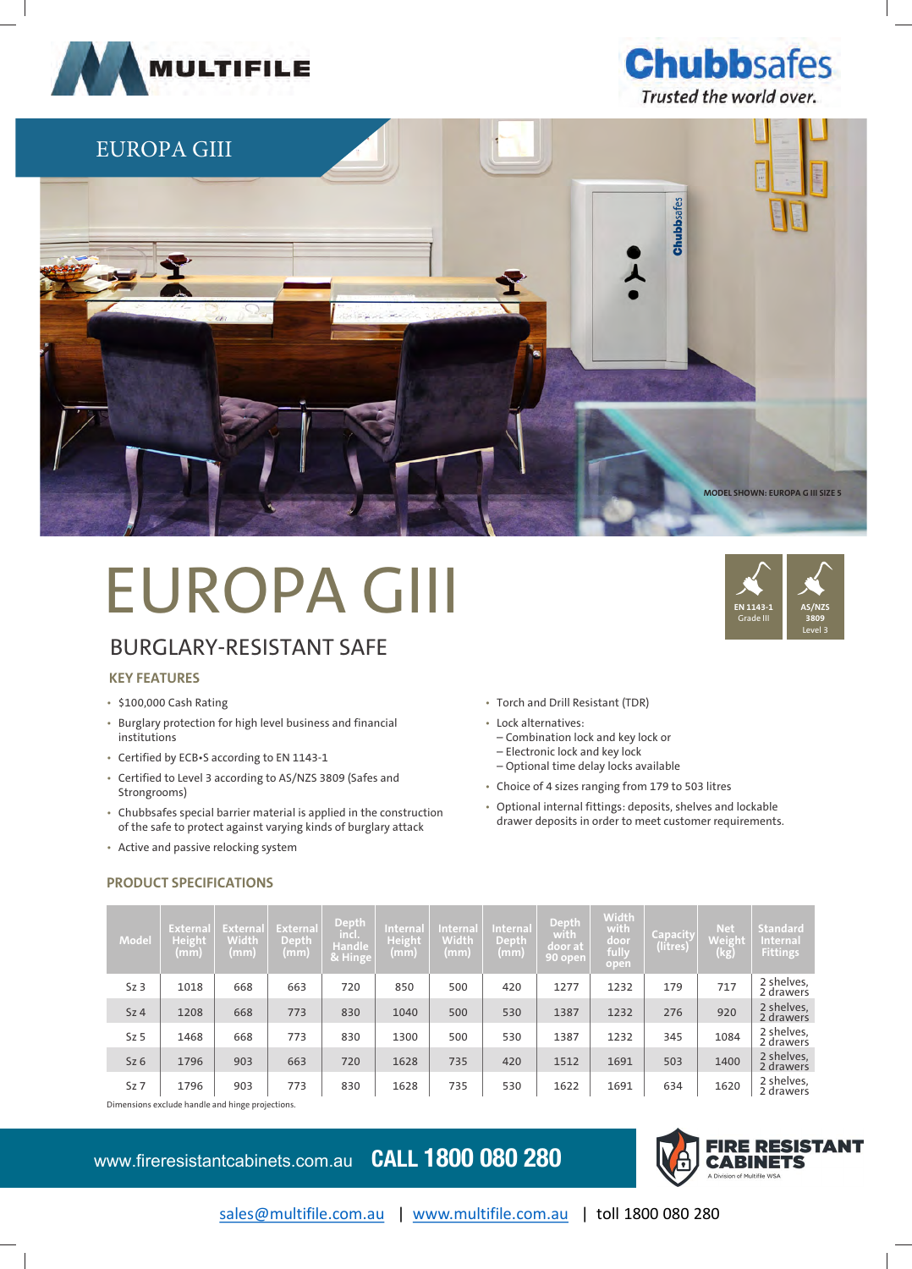





# EUROPA GIII

## BURGLARY-RESISTANT SAFE

#### **KEY FEATURES**

- \$100,000 Cash Rating
- Burglary protection for high level business and financial institutions
- Certified by ECB•S according to EN 1143-1
- Certified to Level 3 according to AS/NZS 3809 (Safes and Strongrooms)
- Chubbsafes special barrier material is applied in the construction of the safe to protect against varying kinds of burglary attack
- Active and passive relocking system

**PRODUCT SPECIFICATIONS**



– Optional time delay locks available

• Torch and Drill Resistant (TDR)

• Lock alternatives:

- Choice of 4 sizes ranging from 179 to 503 litres
- Optional internal fittings: deposits, shelves and lockable drawer deposits in order to meet customer requirements.

| <b>Model</b>    | <b>Externa</b><br>Height<br>(mm) | <b>Externa</b><br><b>Width</b><br>(mm) | <b>External</b><br>Depth<br>(mm) | <b>Depth</b><br><b>Service</b><br>inci.<br>Handle<br>& Hinge | <b>Internal</b><br><b>Height</b><br>(mm) | <b>Internal</b><br><b>Width</b><br>(mm) | <b>Internal</b><br>Depth<br>(mm) | <b>Depth</b><br>with<br>door at r<br><b>90 open</b> | <b>Width</b><br>with<br>door<br>fully<br>open | <b>Capacity</b><br>(litres) | <b>Net</b><br>Weight<br>$\overline{(\mathsf{kg})}$ | <b>Standard</b><br><b>Internal</b><br><b>Fittings</b> |
|-----------------|----------------------------------|----------------------------------------|----------------------------------|--------------------------------------------------------------|------------------------------------------|-----------------------------------------|----------------------------------|-----------------------------------------------------|-----------------------------------------------|-----------------------------|----------------------------------------------------|-------------------------------------------------------|
| Sz <sub>3</sub> | 1018                             | 668                                    | 663                              | 720                                                          | 850                                      | 500                                     | 420                              | 1277                                                | 1232                                          | 179                         | 717                                                | 2 shelves,<br>2 drawers                               |
| Sz <sub>4</sub> | 1208                             | 668                                    | 773                              | 830                                                          | 1040                                     | 500                                     | 530                              | 1387                                                | 1232                                          | 276                         | 920                                                | 2 shelves,<br>2 drawers                               |
| Sz <sub>5</sub> | 1468                             | 668                                    | 773                              | 830                                                          | 1300                                     | 500                                     | 530                              | 1387                                                | 1232                                          | 345                         | 1084                                               | 2 shelves,<br>2 drawers                               |
| Sz6             | 1796                             | 903                                    | 663                              | 720                                                          | 1628                                     | 735                                     | 420                              | 1512                                                | 1691                                          | 503                         | 1400                                               | 2 shelves,<br>2 drawers                               |
| Sz <sub>7</sub> | 1796                             | 903                                    | 773                              | 830                                                          | 1628                                     | 735                                     | 530                              | 1622                                                | 1691                                          | 634                         | 1620                                               | 2 shelves,<br>2 drawers                               |

Dimensions exclude handle and hinge projections.

www.fireresistantcabinets.com.au **CALL 1800 080 280**



**AS/NZS 3809** Level 3

**EN 1143-1** Grade III